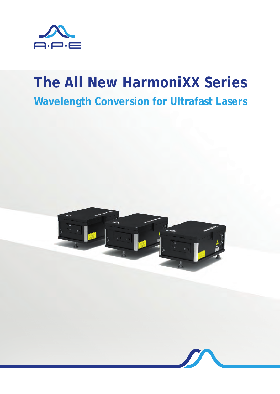

# **The All New HarmoniXX Series Wavelength Conversion for Ultrafast Lasers**



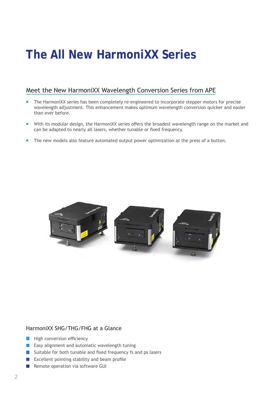## **The All New HarmoniXX Series**

### Meet the New HarmoniXX Wavelength Conversion Series from APE

- The HarmoniXX series has been completely re-engineered to incorporate stepper motors for precise wavelength adjustment. This enhancement makes optimum wavelength conversion quicker and easier than ever before.
- With its modular design, the HarmoniXX series offers the broadest wavelength range on the market and can be adapted to nearly all lasers, whether tunable or fixed frequency.
- The new models also feature automated output power optimization at the press of a button.



#### HarmoniXX SHG/THG/FHG at a Glance

- $\blacksquare$  High conversion efficiency
- Easy alignment and automatic wavelength tuning  $\blacksquare$
- Suitable for both tunable and fixed frequency fs and ps lasers  $\left\vert \cdot\right\vert$
- **EXCELLENT FROM DEAM** Excellent pointing stability and beam profile
- Remote operation via software GUI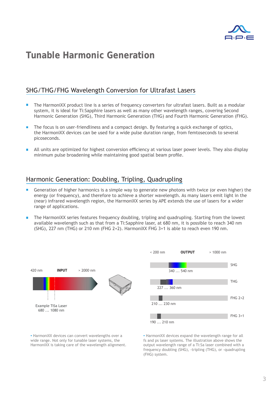

### **Tunable Harmonic Generation**

### SHG/THG/FHG Wavelength Conversion for Ultrafast Lasers

- The HarmoniXX product line is a series of frequency converters for ultrafast lasers. Built as a modular system, it is ideal for Ti:Sapphire lasers as well as many other wavelength ranges, covering Second Harmonic Generation (SHG), Third Harmonic Generation (THG) and Fourth Harmonic Generation (FHG).
- The focus is on user-friendliness and a compact design. By featuring a quick exchange of optics, the HarmoniXX devices can be used for a wide pulse duration range, from femtoseconds to several picoseconds.
- All units are optimized for highest conversion efficiency at various laser power levels. They also display minimum pulse broadening while maintaining good spatial beam profile.

#### Harmonic Generation: Doubling, Tripling, Quadrupling

- Generation of higher harmonics is a simple way to generate new photons with twice (or even higher) the energy (or frequency), and therefore to achieve a shorter wavelength. As many lasers emit light in the (near) infrared wavelength region, the HarmoniXX series by APE extends the use of lasers for a wider range of applications.
- The HarmoniXX series features frequency doubling, tripling and quadrupling. Starting from the lowest available wavelength such as that from a Ti:Sapphire laser, at 680 nm, it is possible to reach 340 nm (SHG), 227 nm (THG) or 210 nm (FHG 2+2). HarmoniXX FHG 3+1 is able to reach even 190 nm.



**.** HarmoniXX devices can convert wavelengths over a wide range. Not only for tunable laser systems, the HarmoniXX is taking care of the wavelength alignment. **.** HarmoniXX devices expand the wavelength range for all fs and ps laser systems. The illustration above shows the output wavelength range of a Ti:Sa laser combined with a frequency doubling (SHG), -tripling (THG), or -quadrupling (FHG) system.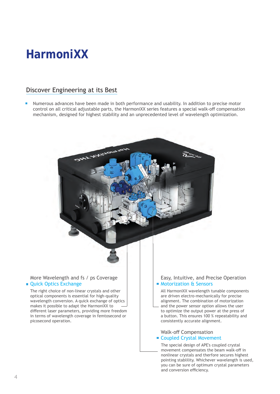## **HarmoniXX**

### Discover Engineering at its Best

Numerous advances have been made in both performance and usability. In addition to precise motor control on all critical adjustable parts, the HarmoniXX series features a special walk-off compensation mechanism, designed for highest stability and an unprecedented level of wavelength optimization.



and conversion efficiency.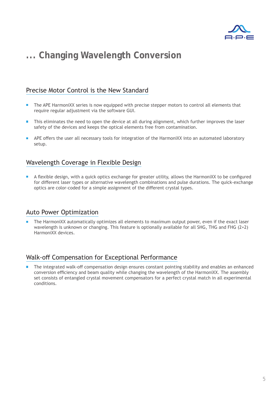

## **... Changing Wavelength Conversion**

### Precise Motor Control is the New Standard

- The APE HarmoniXX series is now equipped with precise stepper motors to control all elements that require regular adjustment via the software GUI.
- This eliminates the need to open the device at all during alignment, which further improves the laser safety of the devices and keeps the optical elements free from contamination.
- APE offers the user all necessary tools for integration of the HarmoniXX into an automated laboratory setup.

### Wavelength Coverage in Flexible Design

A flexible design, with a quick optics exchange for greater utility, allows the HarmoniXX to be configured for different laser types or alternative wavelength combinations and pulse durations. The quick-exchange optics are color-coded for a simple assignment of the different crystal types.

### Auto Power Optimization

The HarmoniXX automatically optimizes all elements to maximum output power, even if the exact laser wavelength is unknown or changing. This feature is optionally available for all SHG, THG and FHG (2+2) HarmoniXX devices.

#### Walk-off Compensation for Exceptional Performance

The integrated walk-off compensation design ensures constant pointing stability and enables an enhanced conversion efficiency and beam quality while changing the wavelength of the HarmoniXX. The assembly set consists of entangled crystal movement compensators for a perfect crystal match in all experimental conditions.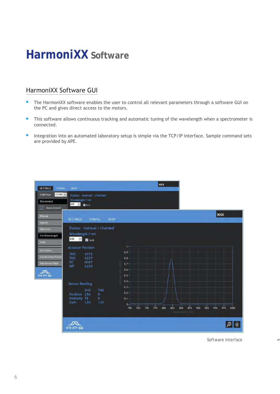## **HarmoniXX Software**

### HarmoniXX Software GUI

- П The HarmoniXX software enables the user to control all relevant parameters through a software GUI on the PC and gives direct access to the motors.
- $\mathbf{r}$ This software allows continuous tracking and automatic tuning of the wavelength when a spectrometer is connected.
- Integration into an automated laboratory setup is simple via the TCP/IP interface. Sample command sets are provided by APE.



*Software Interface* 

ø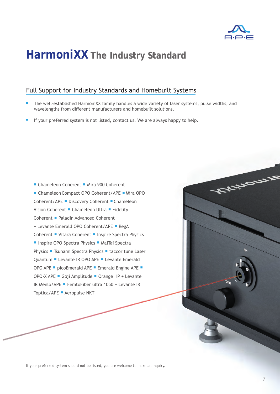

Afteraux

## **HarmoniXX The Industry Standard**

### Full Support for Industry Standards and Homebuilt Systems

- The well-established HarmoniXX family handles a wide variety of laser systems, pulse widths, and wavelengths from different manufacturers and homebuilt solutions.
- If your preferred system is not listed, contact us. We are always happy to help.

■ Chameleon Coherent ■ Mira 900 Coherent ■ Chameleon Compact OPO Coherent/APE ■ Mira OPO Coherent/APE ■ Discovery Coherent ■ Chameleon Vision Coherent ■ Chameleon Ultra ■ Fidelity Coherent ▪ Paladin Advanced Coherent + Levante Emerald OPO Coherent/APE **·** RegA Coherent ■ Vitara Coherent ■ Inspire Spectra Physics ■ Inspire OPO Spectra Physics ■ MaiTai Spectra Physics ■ Tsunami Spectra Physics ■ taccor tune Laser Quantum ■ Levante IR OPO APE ■ Levante Emerald OPO APE  $\blacksquare$  picoEmerald APE  $\blacksquare$  Emerald Engine APE  $\blacksquare$ <br>OPO-X APE  $\blacksquare$  Goji Amplitude  $\blacksquare$  Orange HP + Levante IR Menlo/APE ■ FemtoFiber ultra 1050 + Levante IR Toptica/APE ▪ Aeropulse NKT

*If your preferred system should not be listed, you are welcome to make an inquiry.*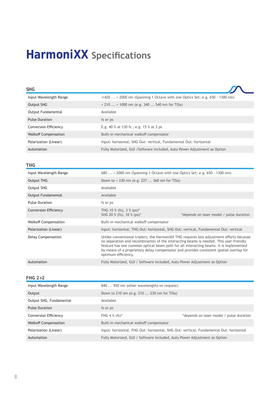## **HarmoniXX** Specifications

| <b>SHG</b>                   |                                                                                           |
|------------------------------|-------------------------------------------------------------------------------------------|
| Input Wavelength Range       | $\langle 420 \rangle$ 2000 nm (Spanning 1 Octave with one Optics Set; e.g. 650 - 1300 nm) |
| Output SHG                   | $\le$ 210  > 1000 nm (e.g. 340  540 nm for TiSa)                                          |
| Output Fundamental           | Available                                                                                 |
| <b>Pulse Duration</b>        | fs or ps                                                                                  |
| <b>Conversion Efficiency</b> | E.g. 40 % at 130 fs; e.g. 15 % at 2 ps                                                    |
| <b>Walkoff Compensation</b>  | Built-in mechanical walkoff compensator                                                   |
| Polarization (Linear)        | Input: horizontal, SHG Out: vertical, Fundamental Out: horizontal                         |
| Automation                   | Fully Motorized, GUI /Software included, Auto Power Adjustment as Option                  |

#### **THG**

| Input Wavelength Range       | 680  > 2000 nm (Spanning 1 Octave with one Optics Set; e.g. 650 - 1300 nm)                                                                                                                                                                                                                                                                                                                    |                                          |  |
|------------------------------|-----------------------------------------------------------------------------------------------------------------------------------------------------------------------------------------------------------------------------------------------------------------------------------------------------------------------------------------------------------------------------------------------|------------------------------------------|--|
| Output THG                   | Down to < 230 nm (e.g. 227  360 nm for TiSa)                                                                                                                                                                                                                                                                                                                                                  |                                          |  |
| Output SHG                   | Available                                                                                                                                                                                                                                                                                                                                                                                     |                                          |  |
| Output Fundamental           | Available                                                                                                                                                                                                                                                                                                                                                                                     |                                          |  |
| <b>Pulse Duration</b>        | fs or ps                                                                                                                                                                                                                                                                                                                                                                                      |                                          |  |
| <b>Conversion Efficiency</b> | THG 10 % (fs), $3\%$ (ps) <sup>*</sup><br>SHG 20 % (fs), 10 % (ps)*                                                                                                                                                                                                                                                                                                                           | *depends on laser model / pulse duration |  |
| <b>Walkoff Compensation</b>  | Built-in mechanical walkoff compensator                                                                                                                                                                                                                                                                                                                                                       |                                          |  |
| Polarization (Linear)        | Input: horizontal, THG Out: horizontal, SHG Out: vertical, Fundamental Out: vertical                                                                                                                                                                                                                                                                                                          |                                          |  |
| Delay Compensation           | Unlike conventional triplers, the HarmoniXX THG requires less adjustment efforts because<br>no separation and recombination of the interacting beams is needed. This user-friendly<br>feature has one common optical beam path for all interacting beams. It is implemented<br>by means of a proprietary delay compensator and provides consistent spatial overlap for<br>optimum efficiency. |                                          |  |
| Automation                   | Fully Motorized, GUI / Software included, Auto Power Adjustment as Option                                                                                                                                                                                                                                                                                                                     |                                          |  |

#### **FHG 2+2**

| Input Wavelength Range      | 840  920 nm (other wavelengths on request)                                             |                                          |
|-----------------------------|----------------------------------------------------------------------------------------|------------------------------------------|
| Output                      | Down to 210 nm (e.g. 210  230 nm for TiSa)                                             |                                          |
| Output SHG, Fundamental     | Available                                                                              |                                          |
| <b>Pulse Duration</b>       | fs or ps                                                                               |                                          |
| Conversion Efficiency       | FHG 4 $%$ (fs) <sup>*</sup>                                                            | *depends on laser model / pulse duration |
| <b>Walkoff Compensation</b> | Built-in mechanical walkoff compensator                                                |                                          |
| Polarization (Linear)       | Input: horizontal, FHG Out: horizontal, SHG Out: vertical, Fundamental Out: horizontal |                                          |
| Automation                  | Fully Motorized, GUI / Software included, Auto Power Adjustment as Option              |                                          |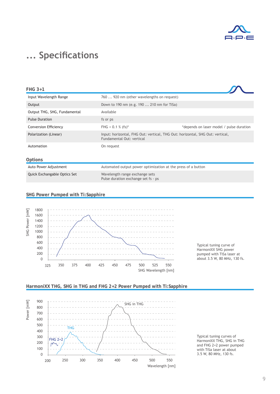

## **... Specifications**

| FHG 3+1                      |                                                                                                            |                                          |
|------------------------------|------------------------------------------------------------------------------------------------------------|------------------------------------------|
| Input Wavelength Range       | 760  920 nm (other wavelengths on request)                                                                 |                                          |
| Output                       | Down to 190 nm (e.g. 190  210 nm for TiSa)                                                                 |                                          |
| Output THG, SHG, Fundamental | Available                                                                                                  |                                          |
| <b>Pulse Duration</b>        | fs or ps                                                                                                   |                                          |
| <b>Conversion Efficiency</b> | FHG < $0.1 %$ (fs) <sup>*</sup>                                                                            | *depends on laser model / pulse duration |
| Polarization (Linear)        | Input: horizontal, FHG Out: vertical, THG Out: horizontal, SHG Out: vertical,<br>Fundamental Out: vertical |                                          |
| Automation                   | On request                                                                                                 |                                          |
| Options                      |                                                                                                            |                                          |
| Auto Power Adjustment        | Automated output power optimization at the press of a button                                               |                                          |
| Quick Exchangable Optics Set | Wavelength range exchange sets<br>Pulse duration exchange set fs - ps                                      |                                          |
|                              |                                                                                                            |                                          |

#### **SHG Power Pumped with Ti:Sapphire**







#### **HarmoniXX THG, SHG in THG and FHG 2+2 Power Pumped with Ti:Sapphire**

Typical tuning curves of HarmoniXX THG, SHG in THG and FHG 2+2 power pumped with TiSa laser at about 3.5 W, 80 MHz, 130 fs.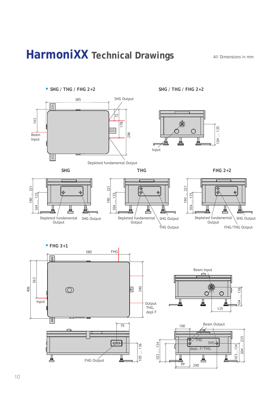## **HarmoniXX Technical Drawings** *All Dimensions in mm*

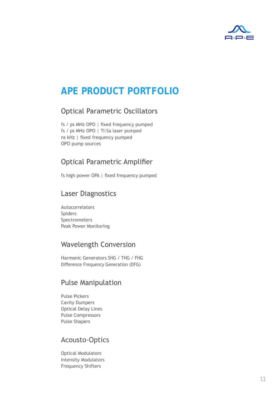

### **APE PRODUCT PORTFOLIO**

### Optical Parametric Oscillators

fs / ps MHz OPO | fixed frequency pumped fs / ps MHz OPO | Ti:Sa laser pumped ns kHz | fixed frequency pumped OPO pump sources

### Optical Parametric Amplifier

fs high power OPA | fixed frequency pumped

### Laser Diagnostics

Autocorrelators Spiders Spectrometers Peak Power Monitoring

### Wavelength Conversion

Harmonic Generators SHG / THG / FHG Difference Frequency Generation (DFG)

### Pulse Manipulation

Pulse Pickers Cavity Dumpers Optical Delay Lines Pulse Compressors Pulse Shapers

### Acousto-Optics

Optical Modulators Intensity Modulators Frequency Shifters